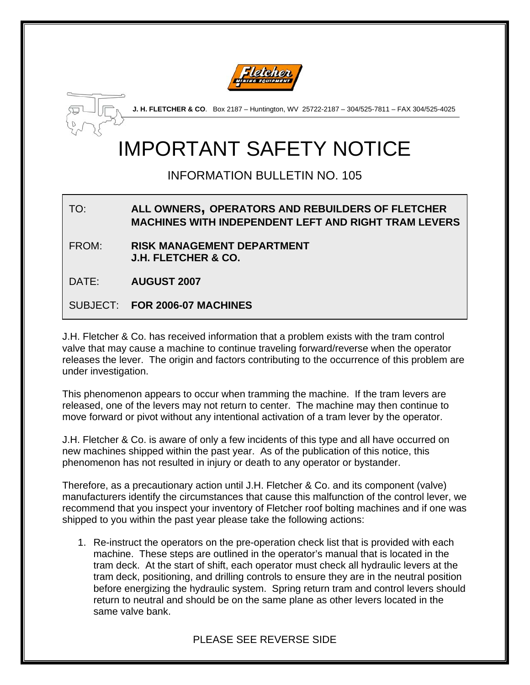



**J. H. FLETCHER & CO**. Box 2187 – Huntington, WV 25722-2187 – 304/525-7811 – FAX 304/525-4025

# IMPORTANT SAFETY NOTICE

## INFORMATION BULLETIN NO. 105

#### TO: **ALL OWNERS, OPERATORS AND REBUILDERS OF FLETCHER MACHINES WITH INDEPENDENT LEFT AND RIGHT TRAM LEVERS**

FROM: **RISK MANAGEMENT DEPARTMENT J.H. FLETCHER & CO.** 

DATE: **AUGUST 2007** 

SUBJECT: **FOR 2006-07 MACHINES** 

J.H. Fletcher & Co. has received information that a problem exists with the tram control valve that may cause a machine to continue traveling forward/reverse when the operator releases the lever. The origin and factors contributing to the occurrence of this problem are under investigation.

This phenomenon appears to occur when tramming the machine. If the tram levers are released, one of the levers may not return to center. The machine may then continue to move forward or pivot without any intentional activation of a tram lever by the operator.

J.H. Fletcher & Co. is aware of only a few incidents of this type and all have occurred on new machines shipped within the past year. As of the publication of this notice, this phenomenon has not resulted in injury or death to any operator or bystander.

Therefore, as a precautionary action until J.H. Fletcher & Co. and its component (valve) manufacturers identify the circumstances that cause this malfunction of the control lever, we recommend that you inspect your inventory of Fletcher roof bolting machines and if one was shipped to you within the past year please take the following actions:

1. Re-instruct the operators on the pre-operation check list that is provided with each machine. These steps are outlined in the operator's manual that is located in the tram deck. At the start of shift, each operator must check all hydraulic levers at the tram deck, positioning, and drilling controls to ensure they are in the neutral position before energizing the hydraulic system. Spring return tram and control levers should return to neutral and should be on the same plane as other levers located in the same valve bank.

### PLEASE SEE REVERSE SIDE